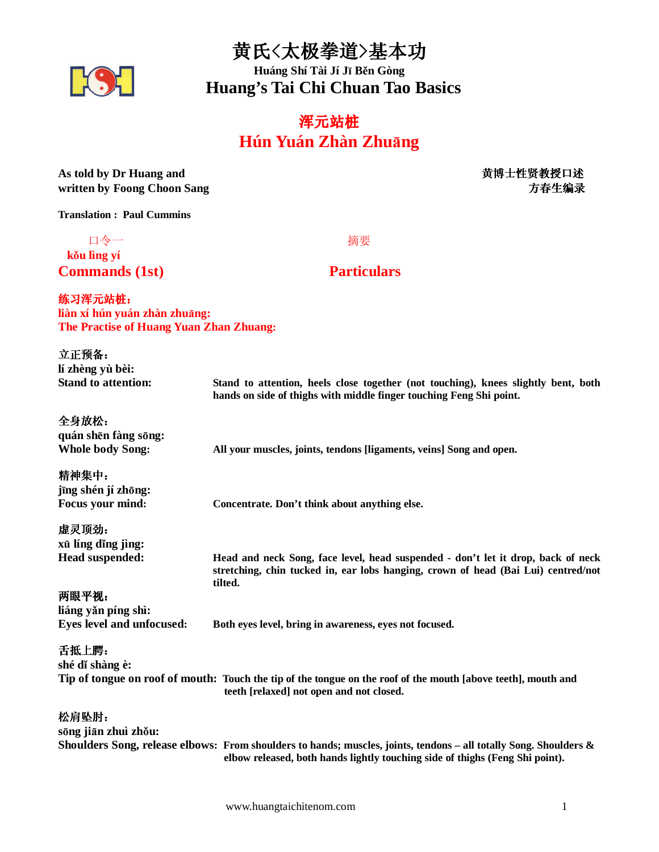黄氏<太极拳道>基本功



**Huáng Shí Tài Jí J**ī **B**ě**n Gòng Huang's Tai Chi Chuan Tao Basics** 

# 浑元站桩 **Hún Yuán Zhàn Zhu**ā**ng**

| As told by Dr Huang and<br>written by Foong Choon Sang                              | 黄博士性贤教授口述<br>方春生编录                                                                                                                                                                                |
|-------------------------------------------------------------------------------------|---------------------------------------------------------------------------------------------------------------------------------------------------------------------------------------------------|
| <b>Translation: Paul Cummins</b>                                                    |                                                                                                                                                                                                   |
| 口令一<br>kŏu lìng yí                                                                  | 摘要                                                                                                                                                                                                |
| <b>Commands (1st)</b>                                                               | <b>Particulars</b>                                                                                                                                                                                |
| 练习浑元站桩:<br>liàn xí hún yuán zhàn zhuāng:<br>The Practise of Huang Yuan Zhan Zhuang: |                                                                                                                                                                                                   |
| 立正预备:<br>lí zhèng yù bèi:                                                           |                                                                                                                                                                                                   |
| <b>Stand to attention:</b>                                                          | Stand to attention, heels close together (not touching), knees slightly bent, both<br>hands on side of thighs with middle finger touching Feng Shi point.                                         |
| 全身放松:<br>quán shēn fàng sōng:<br><b>Whole body Song:</b>                            | All your muscles, joints, tendons [ligaments, veins] Song and open.                                                                                                                               |
| 精神集中:<br>jīng shén jí zhōng:<br><b>Focus your mind:</b>                             | Concentrate. Don't think about anything else.                                                                                                                                                     |
| 虚灵顶劲:<br>xū líng dǐng jìng:<br><b>Head suspended:</b>                               | Head and neck Song, face level, head suspended - don't let it drop, back of neck<br>stretching, chin tucked in, ear lobs hanging, crown of head (Bai Lui) centred/not                             |
| 两眼平视:<br>liáng yǎn píng shì:<br><b>Eyes level and unfocused:</b>                    | tilted.<br>Both eyes level, bring in awareness, eyes not focused.                                                                                                                                 |
| 舌抵上腭:<br>shé dǐ shàng è:                                                            | Tip of tongue on roof of mouth: Touch the tip of the tongue on the roof of the mouth [above teeth], mouth and<br>teeth [relaxed] not open and not closed.                                         |
| 松肩坠肘:<br>sōng jiān zhuì zhǒu:                                                       | Shoulders Song, release elbows: From shoulders to hands; muscles, joints, tendons – all totally Song. Shoulders &<br>elbow released, both hands lightly touching side of thighs (Feng Shi point). |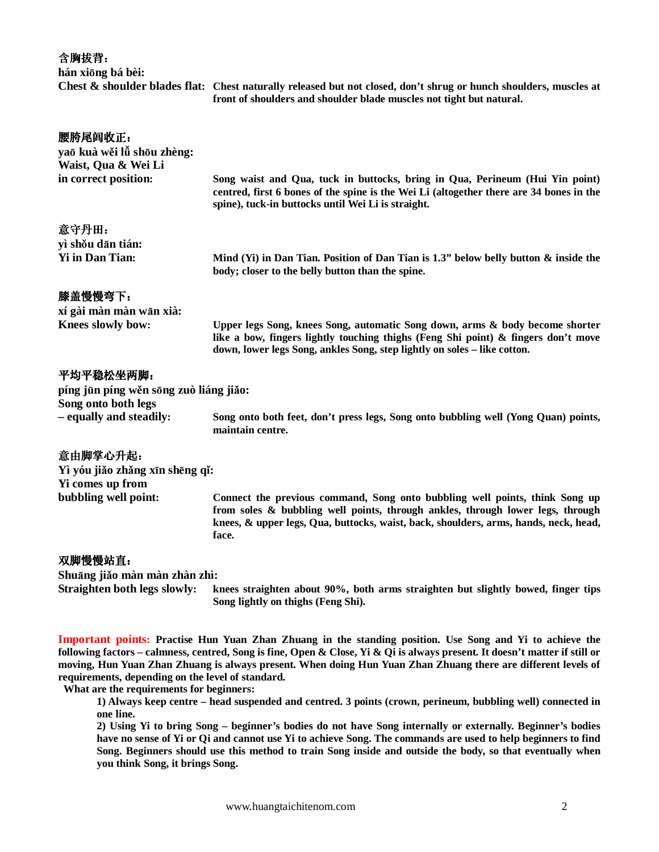含胸拔背: **hán xi**ō**ng bá bèi: Chest & shoulder blades flat: Chest naturally released but not closed, don't shrug or hunch shoulders, muscles at front of shoulders and shoulder blade muscles not tight but natural.**  腰胯尾闾收正: **ya**ō **kuà w**ě**i l**ǚ **sh**ō**u zhèng: Waist, Qua & Wei Li in correct position: Song waist and Qua, tuck in buttocks, bring in Qua, Perineum (Hui Yin point)** 

**centred, first 6 bones of the spine is the Wei Li (altogether there are 34 bones in the spine), tuck-in buttocks until Wei Li is straight.**  意守丹田: **yì sh**ǒ**u d**ā**n tián: Yi in Dan Tian: Mind (Yi) in Dan Tian. Position of Dan Tian is 1.3" below belly button & inside the body; closer to the belly button than the spine.**  膝盖慢慢弯下: **xí gài màn màn w**ā**n xià: Knees slowly bow: Upper legs Song, knees Song, automatic Song down, arms & body become shorter like a bow, fingers lightly touching thighs (Feng Shi point) & fingers don't move down, lower legs Song, ankles Song, step lightly on soles – like cotton.**  平均平稳松坐两脚: **píng j**ū**n píng w**ě**n s**ō**ng zuò liáng ji**ǎ**o: Song onto both legs – equally and steadily: Song onto both feet, don't press legs, Song onto bubbling well (Yong Quan) points, maintain centre.**  意由脚掌心升起: **Yì yóu ji**ǎ**o zh**ǎ**ng x**ī**n sh**ē**ng q**ǐ**:** 

**bubbling well point: Connect the previous command, Song onto bubbling well points, think Song up from soles & bubbling well points, through ankles, through lower legs, through knees, & upper legs, Qua, buttocks, waist, back, shoulders, arms, hands, neck, head, face.** 

#### 双脚慢慢站直:

**Yi comes up from** 

**Shu**ā**ng ji**ǎ**o màn màn zhàn zhì:** 

**Straighten both legs slowly: knees straighten about 90%, both arms straighten but slightly bowed, finger tips Song lightly on thighs (Feng Shi).** 

**Important points: Practise Hun Yuan Zhan Zhuang in the standing position. Use Song and Yi to achieve the following factors – calmness, centred, Song is fine, Open & Close, Yi & Qi is always present. It doesn't matter if still or moving, Hun Yuan Zhan Zhuang is always present. When doing Hun Yuan Zhan Zhuang there are different levels of requirements, depending on the level of standard.** 

 **What are the requirements for beginners:** 

**1) Always keep centre – head suspended and centred. 3 points (crown, perineum, bubbling well) connected in one line.** 

**2) Using Yi to bring Song – beginner's bodies do not have Song internally or externally. Beginner's bodies have no sense of Yi or Qi and cannot use Yi to achieve Song. The commands are used to help beginners to find Song. Beginners should use this method to train Song inside and outside the body, so that eventually when you think Song, it brings Song.**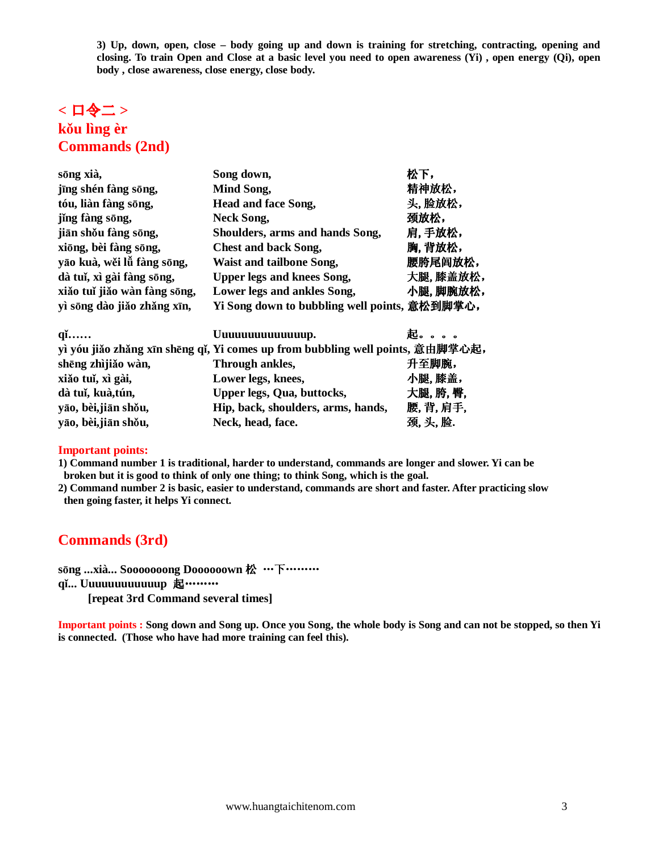**3) Up, down, open, close – body going up and down is training for stretching, contracting, opening and closing. To train Open and Close at a basic level you need to open awareness (Yi) , open energy (Qi), open body , close awareness, close energy, close body.** 

# **<** 口令二 **> k**ǒ**u lìng èr Commands (2nd)**

| sōng xià,                    | Song down,                                                                     | 松下,      |
|------------------------------|--------------------------------------------------------------------------------|----------|
| jīng shén fàng sōng,         | Mind Song,                                                                     | 精神放松,    |
| tóu, liàn fàng sōng,         | Head and face Song,                                                            | 头,脸放松,   |
| jing fàng sōng,              | Neck Song,                                                                     | 颈放松,     |
| jiān shou fàng sōng,         | Shoulders, arms and hands Song,                                                | 肩,手放松,   |
| xiōng, bèi fàng sōng,        | <b>Chest and back Song,</b>                                                    | 胸,背放松,   |
| yāo kuà, wěi lǚ fàng sōng,   | Waist and tailbone Song,                                                       | 腰胯尾闾放松,  |
| dà tuǐ, xì gài fàng sōng,    | <b>Upper legs and knees Song,</b>                                              | 大腿,膝盖放松, |
| xiǎo tuǐ jiǎo wàn fàng sōng, | Lower legs and ankles Song,                                                    | 小腿,脚腕放松, |
| yì sōng dào jiǎo zhǎng xīn,  | Yi Song down to bubbling well points, 意松到脚掌心,                                  |          |
| $q_1$                        | Uuuuuuuuuuuuup.                                                                | 起。。。     |
|                              | yì yóu jiǎo zhǎng xīn shēng qǐ, Yi comes up from bubbling well points, 意由脚掌心起, |          |
|                              |                                                                                |          |

|                      | $\mu$ γυα μαν znang xin sneng qi, 11 comes up n om σασσπης wen points, AM mare-cree |         |
|----------------------|-------------------------------------------------------------------------------------|---------|
| shēng zhìjiǎo wàn,   | Through ankles,                                                                     | 升至脚腕,   |
| xiǎo tuǐ, xì gài,    | Lower legs, knees,                                                                  | 小腿,膝盖,  |
| dà tuǐ, kuà, tún,    | Upper legs, Qua, buttocks,                                                          | 大腿,胯,臀, |
| yāo, bèi, jiān shǒu, | Hip, back, shoulders, arms, hands,                                                  | 腰,背,肩手, |
| yāo, bèi, jiān shǒu, | Neck, head, face.                                                                   | 颈,头,脸.  |

#### **Important points:**

**1) Command number 1 is traditional, harder to understand, commands are longer and slower. Yi can be broken but it is good to think of only one thing; to think Song, which is the goal.** 

**2) Command number 2 is basic, easier to understand, commands are short and faster. After practicing slow then going faster, it helps Yi connect.** 

# **Commands (3rd)**

**s**ō**ng ...xià... Sooooooong Doooooown** 松 …下………

**q**ǐ**... Uuuuuuuuuuuup** 起………

 **[repeat 3rd Command several times]** 

**Important points : Song down and Song up. Once you Song, the whole body is Song and can not be stopped, so then Yi is connected. (Those who have had more training can feel this).**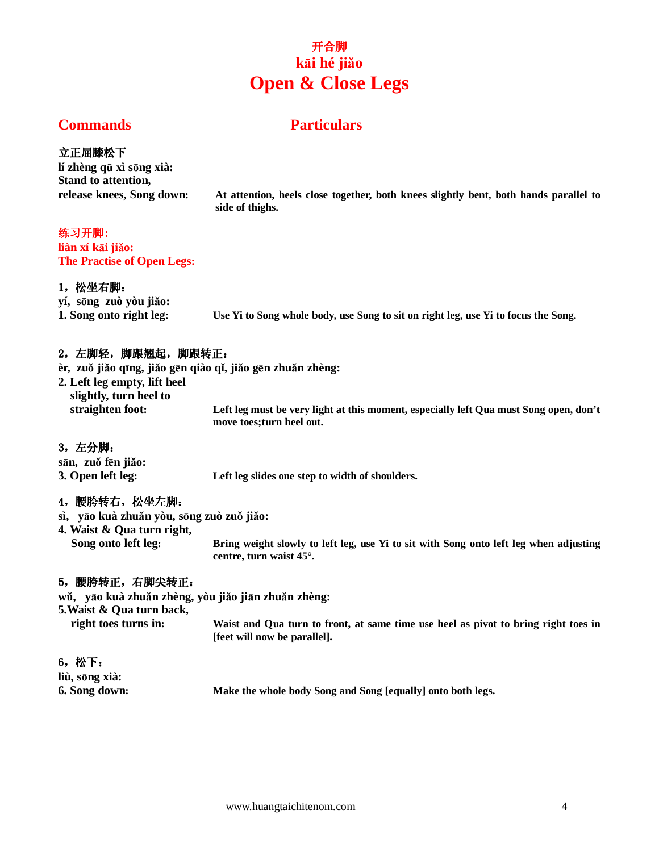# 开合脚 **k**ā**i hé ji**ǎ**o Open & Close Legs**

# **Commands Particulars**

### 立正屈膝松下

**lí zhèng q**ū **xì s**ō**ng xià: Stand to attention,** 

**release knees, Song down: At attention, heels close together, both knees slightly bent, both hands parallel to side of thighs.** 

### 练习开脚:

**liàn xí k**ā**i ji**ǎ**o: The Practise of Open Legs:** 

### 1,松坐右脚:

**yí, s**ō**ng zuò yòu ji**ǎ**o: 1. Song onto right leg: Use Yi to Song whole body, use Song to sit on right leg, use Yi to focus the Song.** 

## 2,左脚轻,脚跟翘起,脚跟转正:

**èr, zu**ǒ **ji**ǎ**o q**ī**ng, ji**ǎ**o g**ē**n qiào q**ǐ**, ji**ǎ**o g**ē**n zhu**ǎ**n zhèng:** 

**2. Left leg empty, lift heel slightly, turn heel to** 

 **straighten foot: Left leg must be very light at this moment, especially left Qua must Song open, don't move toes;turn heel out.** 

3,左分脚: **s**ā**n, zu**ǒ **f**ē**n ji**ǎ**o: 3. Open left leg: Left leg slides one step to width of shoulders.** 

## 4,腰胯转右,松坐左脚:

- **sì, y**ā**o kuà zhu**ǎ**n yòu, s**ō**ng zuò zu**ǒ **ji**ǎ**o:**
- **4. Waist & Qua turn right,**

**Song onto left leg: Bring weight slowly to left leg, use Yi to sit with Song onto left leg when adjusting centre, turn waist 45°.** 

## 5,腰胯转正,右脚尖转正:

**w**ǔ**, y**ā**o kuà zhu**ǎ**n zhèng, yòu ji**ǎ**o ji**ā**n zhu**ǎ**n zhèng:** 

**5.Waist & Qua turn back,** 

**right toes turns in: Waist and Qua turn to front, at same time use heel as pivot to bring right toes in [feet will now be parallel].** 

6,松下: **liù, s**ō**ng xià:** 

**6. Song down: Make the whole body Song and Song [equally] onto both legs.**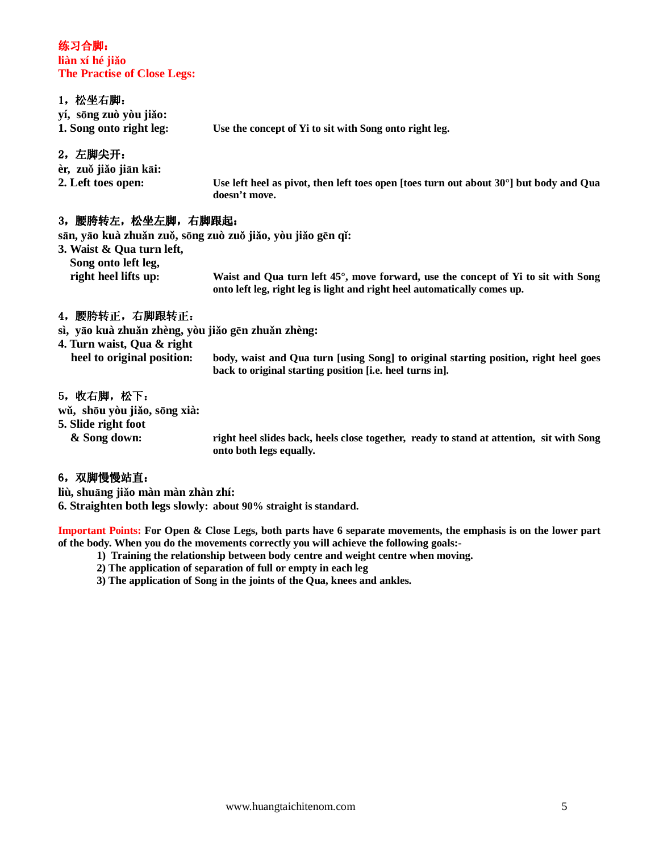#### 练习合脚: **liàn xí hé ji**ǎ**o The Practise of Close Legs:**

#### 1,松坐右脚:

| yí, sōng zuò yòu jiǎo:<br>1. Song onto right leg: | Use the concept of Yi to sit with Song onto right leg.                                                       |
|---------------------------------------------------|--------------------------------------------------------------------------------------------------------------|
| 2, 左脚尖开:                                          |                                                                                                              |
| èr, zuŏ jiǎo jiān kāi:                            |                                                                                                              |
| $2.54$ to $4.400$ anon.                           | بالمعرضا والمطالبينا الأفاك المتمط والملاحظ والمعارض وممارك والمستراة والمستحدث والمستراة والمستراة المستراة |

**2. Left toes open: Use left heel as pivot, then left toes open [toes turn out about 30°] but body and Qua doesn't move.** 

## 3,腰胯转左,松坐左脚,右脚跟起:

**s**ā**n, y**ā**o kuà zhu**ǎ**n zu**ǒ**, s**ō**ng zuò zu**ǒ **ji**ǎ**o, yòu ji**ǎ**o g**ē**n q**ǐ**:** 

**3. Waist & Qua turn left, Song onto left leg, right heel lifts up: Waist and Qua turn left 45°, move forward, use the concept of Yi to sit with Song onto left leg, right leg is light and right heel automatically comes up.** 

# 4,腰胯转正,右脚跟转正:

**sì, y**ā**o kuà zhu**ǎ**n zhèng, yòu ji**ǎ**o g**ē**n zhu**ǎ**n zhèng:** 

| 4. Turn waist, Qua & right |                                                                                      |
|----------------------------|--------------------------------------------------------------------------------------|
| heel to original position: | body, waist and Qua turn [using Song] to original starting position, right heel goes |
|                            | back to original starting position [i.e. heel turns in].                             |

#### 5,收右脚,松下:

**w**ǔ**, sh**ō**u yòu ji**ǎ**o, s**ō**ng xià:** 

**5. Slide right foot** 

**& Song down: right heel slides back, heels close together, ready to stand at attention, sit with Song onto both legs equally.** 

#### 6,双脚慢慢站直:

**liù, shu**ā**ng ji**ǎ**o màn màn zhàn zhí:** 

**6. Straighten both legs slowly: about 90% straight is standard.** 

**Important Points: For Open & Close Legs, both parts have 6 separate movements, the emphasis is on the lower part of the body. When you do the movements correctly you will achieve the following goals:-** 

- **1) Training the relationship between body centre and weight centre when moving.**
- **2) The application of separation of full or empty in each leg**
- **3) The application of Song in the joints of the Qua, knees and ankles.**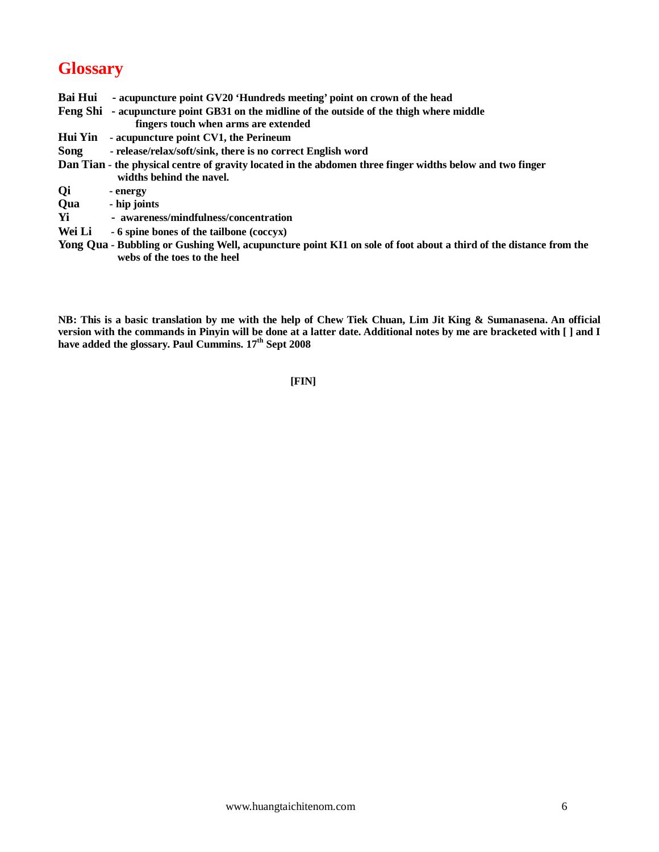# **Glossary**

- **Bai Hui acupuncture point GV20 'Hundreds meeting' point on crown of the head Feng Shi - acupuncture point GB31 on the midline of the outside of the thigh where middle fingers touch when arms are extended Hui Yin - acupuncture point CV1, the Perineum Song - release/relax/soft/sink, there is no correct English word Dan Tian - the physical centre of gravity located in the abdomen three finger widths below and two finger widths behind the navel. Qi - energy Qua - hip joints Yi - awareness/mindfulness/concentration**
- **Wei Li 6 spine bones of the tailbone (coccyx)**
- **Yong Qua Bubbling or Gushing Well, acupuncture point KI1 on sole of foot about a third of the distance from the webs of the toes to the heel**

**NB: This is a basic translation by me with the help of Chew Tiek Chuan, Lim Jit King & Sumanasena. An official version with the commands in Pinyin will be done at a latter date. Additional notes by me are bracketed with [ ] and I have added the glossary. Paul Cummins. 17th Sept 2008** 

**[FIN]**